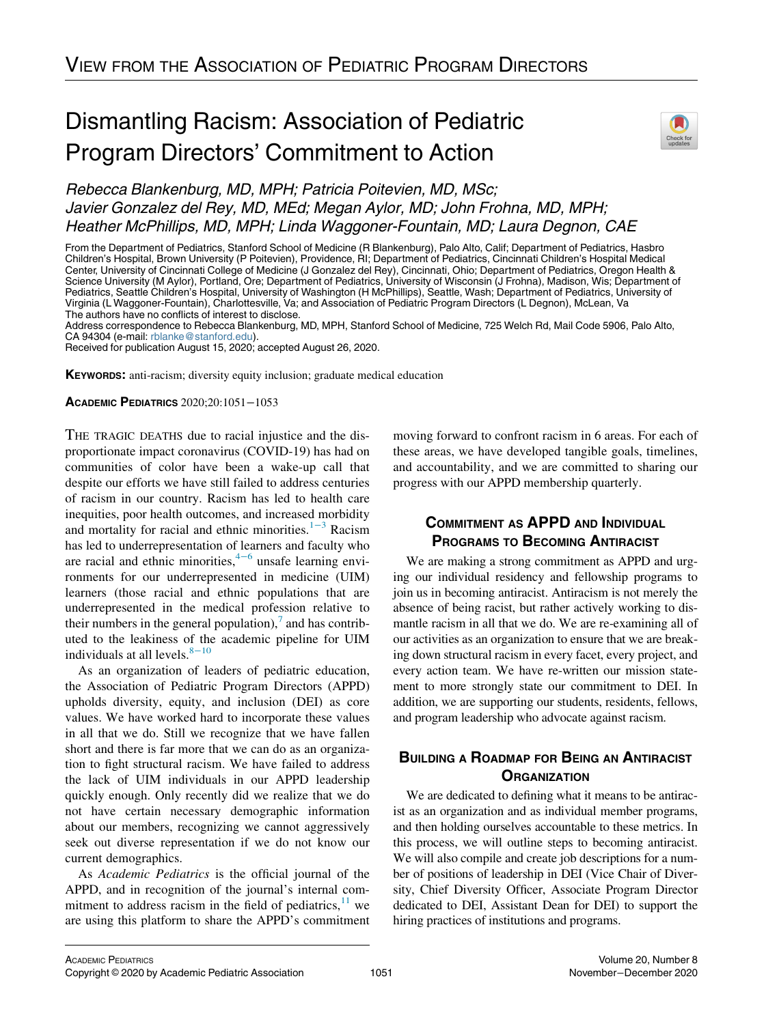# Dismantling Racism: Association of Pediatric Program Directors' Commitment to Action



Rebecca Blankenburg, MD, MPH; Patricia Poitevien, MD, MSc; Javier Gonzalez del Rey, MD, MEd; Megan Aylor, MD; John Frohna, MD, MPH; Heather McPhillips, MD, MPH; Linda Waggoner-Fountain, MD; Laura Degnon, CAE

From the Department of Pediatrics, Stanford School of Medicine (R Blankenburg), Palo Alto, Calif; Department of Pediatrics, Hasbro Children's Hospital, Brown University (P Poitevien), Providence, RI; Department of Pediatrics, Cincinnati Children's Hospital Medical Center, University of Cincinnati College of Medicine (J Gonzalez del Rey), Cincinnati, Ohio; Department of Pediatrics, Oregon Health & Science University (M Aylor), Portland, Ore; Department of Pediatrics, University of Wisconsin (J Frohna), Madison, Wis; Department of Pediatrics, Seattle Children's Hospital, University of Washington (H McPhillips), Seattle, Wash; Department of Pediatrics, University of Virginia (L Waggoner-Fountain), Charlottesville, Va; and Association of Pediatric Program Directors (L Degnon), McLean, Va The authors have no conflicts of interest to disclose.

Address correspondence to Rebecca Blankenburg, MD, MPH, Stanford School of Medicine, 725 Welch Rd, Mail Code 5906, Palo Alto, CA 94304 (e-mail: [rblanke@stanford.edu](mailto:rblanke@stanford.edu)).

Received for publication August 15, 2020; accepted August 26, 2020.

KEYWORDS: anti-racism; diversity equity inclusion; graduate medical education

ACADEMIC PEDIATRICS 2020;20:1051−1053

THE TRAGIC DEATHS due to racial injustice and the disproportionate impact coronavirus (COVID-19) has had on communities of color have been a wake-up call that despite our efforts we have still failed to address centuries of racism in our country. Racism has led to health care inequities, poor health outcomes, and increased morbidity and mortality for racial and ethnic minorities.<sup>1[−](#page-1-0)3</sup> Racism has led to underrepresentation of learners and faculty who are racial and ethnic minorities, $4^{-6}$  unsafe learning environments for our underrepresented in medicine (UIM) learners (those racial and ethnic populations that are underrepresented in the medical profession relative to their numbers in the general population), $\frac{7}{7}$  $\frac{7}{7}$  $\frac{7}{7}$  and has contributed to the leakiness of the academic pipeline for UIM individuals at all levels. $8-10$  $8-10$ 

As an organization of leaders of pediatric education, the Association of Pediatric Program Directors (APPD) upholds diversity, equity, and inclusion (DEI) as core values. We have worked hard to incorporate these values in all that we do. Still we recognize that we have fallen short and there is far more that we can do as an organization to fight structural racism. We have failed to address the lack of UIM individuals in our APPD leadership quickly enough. Only recently did we realize that we do not have certain necessary demographic information about our members, recognizing we cannot aggressively seek out diverse representation if we do not know our current demographics.

As Academic Pediatrics is the official journal of the APPD, and in recognition of the journal's internal commitment to address racism in the field of pediatrics, $11$  we are using this platform to share the APPD's commitment moving forward to confront racism in 6 areas. For each of these areas, we have developed tangible goals, timelines, and accountability, and we are committed to sharing our progress with our APPD membership quarterly.

## COMMITMENT AS APPD AND INDIVIDUAL PROGRAMS TO BECOMING ANTIRACIST

We are making a strong commitment as APPD and urging our individual residency and fellowship programs to join us in becoming antiracist. Antiracism is not merely the absence of being racist, but rather actively working to dismantle racism in all that we do. We are re-examining all of our activities as an organization to ensure that we are breaking down structural racism in every facet, every project, and every action team. We have re-written our mission statement to more strongly state our commitment to DEI. In addition, we are supporting our students, residents, fellows, and program leadership who advocate against racism.

# BUILDING A ROADMAP FOR BEING AN ANTIRACIST **ORGANIZATION**

We are dedicated to defining what it means to be antiracist as an organization and as individual member programs, and then holding ourselves accountable to these metrics. In this process, we will outline steps to becoming antiracist. We will also compile and create job descriptions for a number of positions of leadership in DEI (Vice Chair of Diversity, Chief Diversity Officer, Associate Program Director dedicated to DEI, Assistant Dean for DEI) to support the hiring practices of institutions and programs.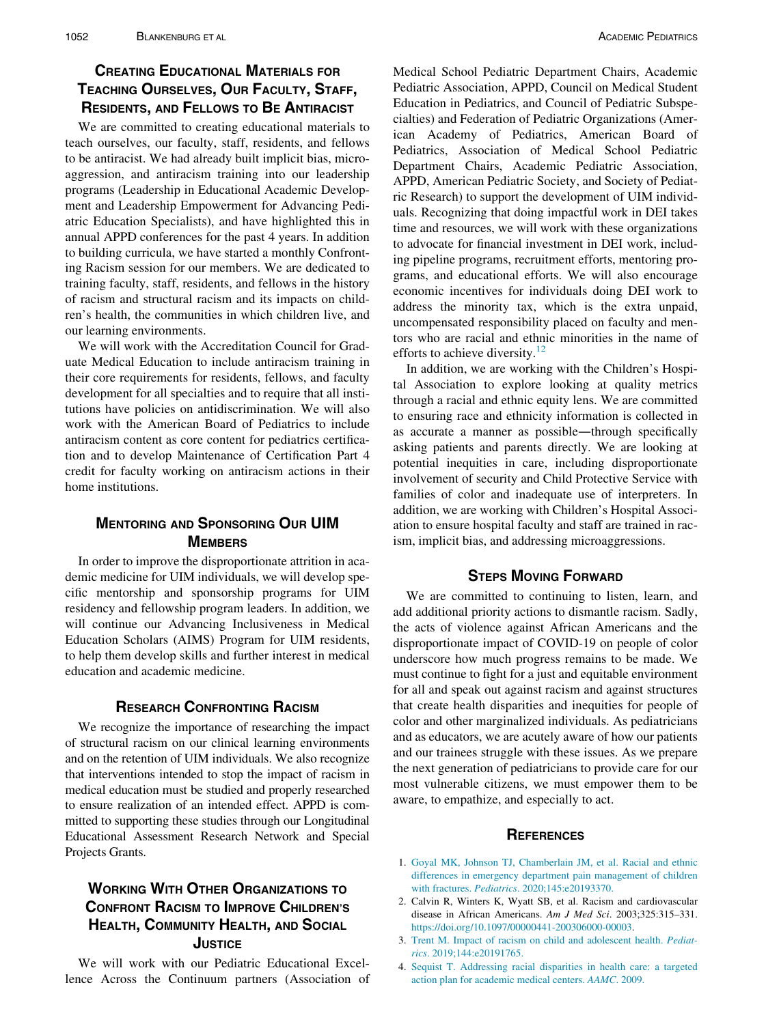# CREATING EDUCATIONAL MATERIALS FOR TEACHING OURSELVES, OUR FACULTY, STAFF, RESIDENTS, AND FELLOWS TO BE ANTIRACIST

We are committed to creating educational materials to teach ourselves, our faculty, staff, residents, and fellows to be antiracist. We had already built implicit bias, microaggression, and antiracism training into our leadership programs (Leadership in Educational Academic Development and Leadership Empowerment for Advancing Pediatric Education Specialists), and have highlighted this in annual APPD conferences for the past 4 years. In addition to building curricula, we have started a monthly Confronting Racism session for our members. We are dedicated to training faculty, staff, residents, and fellows in the history of racism and structural racism and its impacts on children's health, the communities in which children live, and our learning environments.

We will work with the Accreditation Council for Graduate Medical Education to include antiracism training in their core requirements for residents, fellows, and faculty development for all specialties and to require that all institutions have policies on antidiscrimination. We will also work with the American Board of Pediatrics to include antiracism content as core content for pediatrics certification and to develop Maintenance of Certification Part 4 credit for faculty working on antiracism actions in their home institutions.

# **MENTORING AND SPONSORING OUR UIM MEMBERS**

In order to improve the disproportionate attrition in academic medicine for UIM individuals, we will develop specific mentorship and sponsorship programs for UIM residency and fellowship program leaders. In addition, we will continue our Advancing Inclusiveness in Medical Education Scholars (AIMS) Program for UIM residents, to help them develop skills and further interest in medical education and academic medicine.

### RESEARCH CONFRONTING RACISM

We recognize the importance of researching the impact of structural racism on our clinical learning environments and on the retention of UIM individuals. We also recognize that interventions intended to stop the impact of racism in medical education must be studied and properly researched to ensure realization of an intended effect. APPD is committed to supporting these studies through our Longitudinal Educational Assessment Research Network and Special Projects Grants.

# <span id="page-1-0"></span>WORKING WITH OTHER ORGANIZATIONS TO CONFRONT RACISM TO IMPROVE CHILDREN'S HEALTH, COMMUNITY HEALTH, AND SOCIAL **JUSTICE**

<span id="page-1-1"></span>We will work with our Pediatric Educational Excellence Across the Continuum partners (Association of Medical School Pediatric Department Chairs, Academic Pediatric Association, APPD, Council on Medical Student Education in Pediatrics, and Council of Pediatric Subspecialties) and Federation of Pediatric Organizations (American Academy of Pediatrics, American Board of Pediatrics, Association of Medical School Pediatric Department Chairs, Academic Pediatric Association, APPD, American Pediatric Society, and Society of Pediatric Research) to support the development of UIM individuals. Recognizing that doing impactful work in DEI takes time and resources, we will work with these organizations to advocate for financial investment in DEI work, including pipeline programs, recruitment efforts, mentoring programs, and educational efforts. We will also encourage economic incentives for individuals doing DEI work to address the minority tax, which is the extra unpaid, uncompensated responsibility placed on faculty and mentors who are racial and ethnic minorities in the name of efforts to achieve diversity. $12$ 

In addition, we are working with the Children's Hospital Association to explore looking at quality metrics through a racial and ethnic equity lens. We are committed to ensuring race and ethnicity information is collected in as accurate a manner as possible—through specifically asking patients and parents directly. We are looking at potential inequities in care, including disproportionate involvement of security and Child Protective Service with families of color and inadequate use of interpreters. In addition, we are working with Children's Hospital Association to ensure hospital faculty and staff are trained in racism, implicit bias, and addressing microaggressions.

### STEPS MOVING FORWARD

We are committed to continuing to listen, learn, and add additional priority actions to dismantle racism. Sadly, the acts of violence against African Americans and the disproportionate impact of COVID-19 on people of color underscore how much progress remains to be made. We must continue to fight for a just and equitable environment for all and speak out against racism and against structures that create health disparities and inequities for people of color and other marginalized individuals. As pediatricians and as educators, we are acutely aware of how our patients and our trainees struggle with these issues. As we prepare the next generation of pediatricians to provide care for our most vulnerable citizens, we must empower them to be aware, to empathize, and especially to act.

### **REFERENCES**

- 1. [Goyal MK, Johnson TJ, Chamberlain JM, et al. Racial and ethnic](http://refhub.elsevier.com/S1876-2859(20)30492-7/sbref0001) [differences in emergency department pain management of children](http://refhub.elsevier.com/S1876-2859(20)30492-7/sbref0001) [with fractures.](http://refhub.elsevier.com/S1876-2859(20)30492-7/sbref0001) Pediatrics[. 2020;145:e20193370.](http://refhub.elsevier.com/S1876-2859(20)30492-7/sbref0001)
- 2. Calvin R, Winters K, Wyatt SB, et al. Racism and cardiovascular disease in African Americans. Am J Med Sci. 2003;325:315–331. [https://doi.org/10.1097/00000441-200306000-00003.](https://doi.org/10.1097/00000441-200306000-00003)
- 3. [Trent M. Impact of racism on child and adolescent health.](http://refhub.elsevier.com/S1876-2859(20)30492-7/sbref0003) Pediatrics[. 2019;144:e20191765.](http://refhub.elsevier.com/S1876-2859(20)30492-7/sbref0003)
- 4. [Sequist T. Addressing racial disparities in health care: a targeted](http://refhub.elsevier.com/S1876-2859(20)30492-7/sbref0004) [action plan for academic medical centers.](http://refhub.elsevier.com/S1876-2859(20)30492-7/sbref0004) AAMC. 2009.